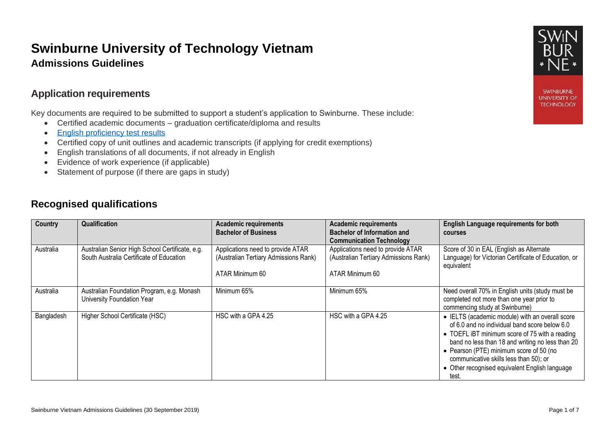# **Swinburne University of Technology Vietnam Admissions Guidelines**

### **Application requirements**

Key documents are required to be submitted to support a student's application to Swinburne. These include:

- Certified academic documents graduation certificate/diploma and results
- [English proficiency test results](http://www.swinburne.edu.au/study/international/apply/entry-requirements/)
- Certified copy of unit outlines and academic transcripts (if applying for credit exemptions)
- English translations of all documents, if not already in English
- Evidence of work experience (if applicable)
- Statement of purpose (if there are gaps in study)

## **Recognised qualifications**

| Country    | Qualification                                                                               | <b>Academic requirements</b><br><b>Bachelor of Business</b>                                   | <b>Academic requirements</b><br><b>Bachelor of Information and</b><br><b>Communication Technology</b> | <b>English Language requirements for both</b><br><b>courses</b>                                                                                                                                                                                                                                                                                        |
|------------|---------------------------------------------------------------------------------------------|-----------------------------------------------------------------------------------------------|-------------------------------------------------------------------------------------------------------|--------------------------------------------------------------------------------------------------------------------------------------------------------------------------------------------------------------------------------------------------------------------------------------------------------------------------------------------------------|
| Australia  | Australian Senior High School Certificate, e.g.<br>South Australia Certificate of Education | Applications need to provide ATAR<br>(Australian Tertiary Admissions Rank)<br>ATAR Minimum 60 | Applications need to provide ATAR<br>(Australian Tertiary Admissions Rank)<br>ATAR Minimum 60         | Score of 30 in EAL (English as Alternate<br>Language) for Victorian Certificate of Education, or<br>equivalent                                                                                                                                                                                                                                         |
| Australia  | Australian Foundation Program, e.g. Monash<br>University Foundation Year                    | Minimum 65%                                                                                   | Minimum 65%                                                                                           | Need overall 70% in English units (study must be<br>completed not more than one year prior to<br>commencing study at Swinburne)                                                                                                                                                                                                                        |
| Bangladesh | Higher School Certificate (HSC)                                                             | HSC with a GPA 4.25                                                                           | HSC with a GPA 4.25                                                                                   | • IELTS (academic module) with an overall score<br>of 6.0 and no individual band score below 6.0<br>• TOEFL IBT minimum score of 75 with a reading<br>band no less than 18 and writing no less than 20<br>• Pearson (PTE) minimum score of 50 (no<br>communicative skills less than 50); or<br>• Other recognised equivalent English language<br>test. |



**SWINBURNE UNIVERSITY OF TECHNOLOGY**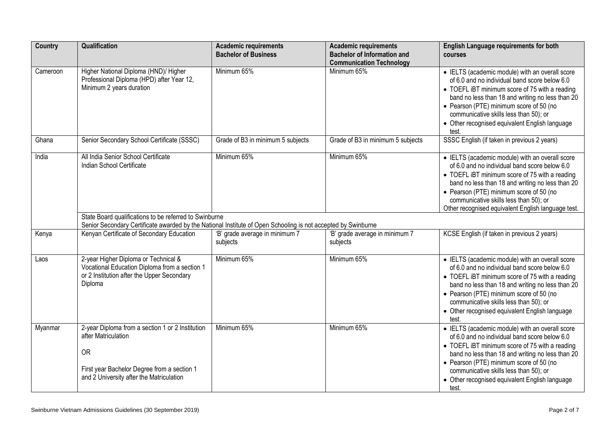| Country  | Qualification                                                                                                                                                                   | <b>Academic requirements</b><br><b>Bachelor of Business</b> | <b>Academic requirements</b><br><b>Bachelor of Information and</b><br><b>Communication Technology</b> | English Language requirements for both<br>courses                                                                                                                                                                                                                                                                                                      |
|----------|---------------------------------------------------------------------------------------------------------------------------------------------------------------------------------|-------------------------------------------------------------|-------------------------------------------------------------------------------------------------------|--------------------------------------------------------------------------------------------------------------------------------------------------------------------------------------------------------------------------------------------------------------------------------------------------------------------------------------------------------|
| Cameroon | Higher National Diploma (HND)/ Higher<br>Professional Diploma (HPD) after Year 12,<br>Minimum 2 years duration                                                                  | Minimum 65%                                                 | Minimum 65%                                                                                           | • IELTS (academic module) with an overall score<br>of 6.0 and no individual band score below 6.0<br>• TOEFL iBT minimum score of 75 with a reading<br>band no less than 18 and writing no less than 20<br>• Pearson (PTE) minimum score of 50 (no<br>communicative skills less than 50); or<br>• Other recognised equivalent English language<br>test. |
| Ghana    | Senior Secondary School Certificate (SSSC)                                                                                                                                      | Grade of B3 in minimum 5 subjects                           | Grade of B3 in minimum 5 subjects                                                                     | SSSC English (if taken in previous 2 years)                                                                                                                                                                                                                                                                                                            |
| India    | All India Senior School Certificate<br>Indian School Certificate                                                                                                                | Minimum 65%                                                 | Minimum 65%                                                                                           | • IELTS (academic module) with an overall score<br>of 6.0 and no individual band score below 6.0<br>• TOEFL iBT minimum score of 75 with a reading<br>band no less than 18 and writing no less than 20<br>• Pearson (PTE) minimum score of 50 (no<br>communicative skills less than 50); or<br>Other recognised equivalent English language test.      |
|          | State Board qualifications to be referred to Swinburne<br>Senior Secondary Certificate awarded by the National Institute of Open Schooling is not accepted by Swinburne         |                                                             |                                                                                                       |                                                                                                                                                                                                                                                                                                                                                        |
| Kenya    | Kenyan Certificate of Secondary Education                                                                                                                                       | 'B' grade average in minimum 7<br>subjects                  | 'B' grade average in minimum 7<br>subjects                                                            | KCSE English (if taken in previous 2 years)                                                                                                                                                                                                                                                                                                            |
| Laos     | 2-year Higher Diploma or Technical &<br>Vocational Education Diploma from a section 1<br>or 2 Institution after the Upper Secondary<br>Diploma                                  | Minimum 65%                                                 | Minimum 65%                                                                                           | • IELTS (academic module) with an overall score<br>of 6.0 and no individual band score below 6.0<br>• TOEFL iBT minimum score of 75 with a reading<br>band no less than 18 and writing no less than 20<br>• Pearson (PTE) minimum score of 50 (no<br>communicative skills less than 50); or<br>• Other recognised equivalent English language<br>test. |
| Myanmar  | 2-year Diploma from a section 1 or 2 Institution<br>after Matriculation<br><b>OR</b><br>First year Bachelor Degree from a section 1<br>and 2 University after the Matriculation | Minimum 65%                                                 | Minimum 65%                                                                                           | • IELTS (academic module) with an overall score<br>of 6.0 and no individual band score below 6.0<br>• TOEFL iBT minimum score of 75 with a reading<br>band no less than 18 and writing no less than 20<br>• Pearson (PTE) minimum score of 50 (no<br>communicative skills less than 50); or<br>• Other recognised equivalent English language<br>test. |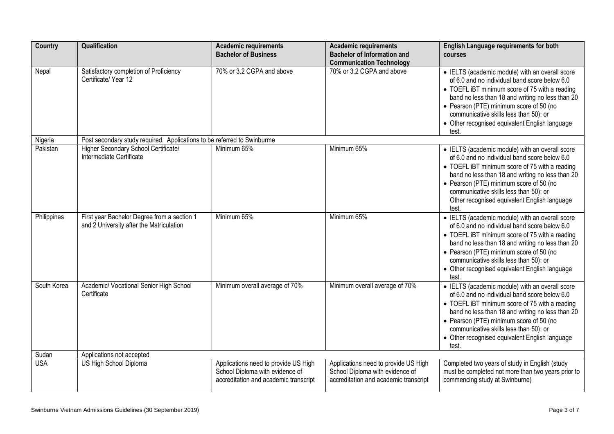| <b>Country</b> | Qualification                                                                           | <b>Academic requirements</b><br><b>Bachelor of Business</b>                                                      | <b>Academic requirements</b><br><b>Bachelor of Information and</b>                                               | <b>English Language requirements for both</b><br>courses                                                                                                                                                                                                                                                                                               |
|----------------|-----------------------------------------------------------------------------------------|------------------------------------------------------------------------------------------------------------------|------------------------------------------------------------------------------------------------------------------|--------------------------------------------------------------------------------------------------------------------------------------------------------------------------------------------------------------------------------------------------------------------------------------------------------------------------------------------------------|
|                |                                                                                         |                                                                                                                  | <b>Communication Technology</b>                                                                                  |                                                                                                                                                                                                                                                                                                                                                        |
| Nepal          | Satisfactory completion of Proficiency<br>Certificate/ Year 12                          | 70% or 3.2 CGPA and above                                                                                        | 70% or 3.2 CGPA and above                                                                                        | • IELTS (academic module) with an overall score<br>of 6.0 and no individual band score below 6.0<br>• TOEFL iBT minimum score of 75 with a reading<br>band no less than 18 and writing no less than 20<br>• Pearson (PTE) minimum score of 50 (no<br>communicative skills less than 50); or<br>• Other recognised equivalent English language<br>test. |
| Nigeria        | Post secondary study required. Applications to be referred to Swinburme                 |                                                                                                                  |                                                                                                                  |                                                                                                                                                                                                                                                                                                                                                        |
| Pakistan       | Higher Secondary School Certificate/<br>Intermediate Certificate                        | Minimum 65%                                                                                                      | Minimum 65%                                                                                                      | • IELTS (academic module) with an overall score<br>of 6.0 and no individual band score below 6.0<br>• TOEFL iBT minimum score of 75 with a reading<br>band no less than 18 and writing no less than 20<br>• Pearson (PTE) minimum score of 50 (no<br>communicative skills less than 50); or<br>Other recognised equivalent English language<br>test.   |
| Philippines    | First year Bachelor Degree from a section 1<br>and 2 University after the Matriculation | Minimum 65%                                                                                                      | Minimum 65%                                                                                                      | • IELTS (academic module) with an overall score<br>of 6.0 and no individual band score below 6.0<br>• TOEFL iBT minimum score of 75 with a reading<br>band no less than 18 and writing no less than 20<br>• Pearson (PTE) minimum score of 50 (no<br>communicative skills less than 50); or<br>• Other recognised equivalent English language<br>test. |
| South Korea    | Academic/ Vocational Senior High School<br>Certificate                                  | Minimum overall average of 70%                                                                                   | Minimum overall average of 70%                                                                                   | • IELTS (academic module) with an overall score<br>of 6.0 and no individual band score below 6.0<br>• TOEFL iBT minimum score of 75 with a reading<br>band no less than 18 and writing no less than 20<br>• Pearson (PTE) minimum score of 50 (no<br>communicative skills less than 50); or<br>• Other recognised equivalent English language<br>test. |
| Sudan          | Applications not accepted                                                               |                                                                                                                  |                                                                                                                  |                                                                                                                                                                                                                                                                                                                                                        |
| <b>USA</b>     | US High School Diploma                                                                  | Applications need to provide US High<br>School Diploma with evidence of<br>accreditation and academic transcript | Applications need to provide US High<br>School Diploma with evidence of<br>accreditation and academic transcript | Completed two years of study in English (study<br>must be completed not more than two years prior to<br>commencing study at Swinburne)                                                                                                                                                                                                                 |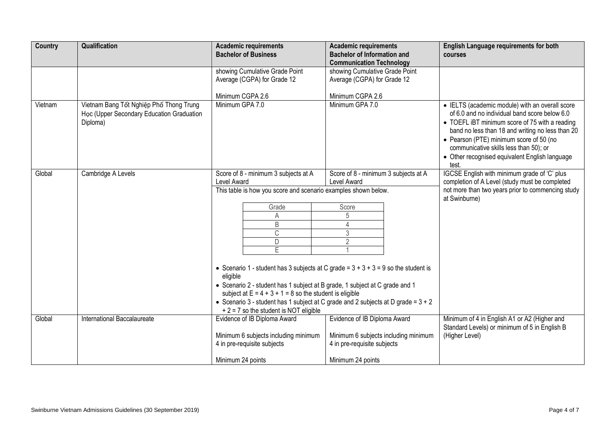|                                                                                                  | <b>Academic requirements</b><br><b>Bachelor of Business</b>                                                                                                                                                                                                                                                                         | <b>Academic requirements</b><br><b>Bachelor of Information and</b><br><b>Communication Technology</b>     | <b>English Language requirements for both</b><br>courses                                                                                                                                                                                                                                                                                               |
|--------------------------------------------------------------------------------------------------|-------------------------------------------------------------------------------------------------------------------------------------------------------------------------------------------------------------------------------------------------------------------------------------------------------------------------------------|-----------------------------------------------------------------------------------------------------------|--------------------------------------------------------------------------------------------------------------------------------------------------------------------------------------------------------------------------------------------------------------------------------------------------------------------------------------------------------|
|                                                                                                  | showing Cumulative Grade Point<br>Average (CGPA) for Grade 12                                                                                                                                                                                                                                                                       | showing Cumulative Grade Point<br>Average (CGPA) for Grade 12                                             |                                                                                                                                                                                                                                                                                                                                                        |
|                                                                                                  | Minimum CGPA 2.6                                                                                                                                                                                                                                                                                                                    | Minimum CGPA 2.6                                                                                          |                                                                                                                                                                                                                                                                                                                                                        |
| Vietnam Bang Tốt Nghiệp Phố Thong Trung<br>Học (Upper Secondary Education Graduation<br>Diploma) | Minimum GPA 7.0                                                                                                                                                                                                                                                                                                                     | Minimum GPA 7.0                                                                                           | • IELTS (academic module) with an overall score<br>of 6.0 and no individual band score below 6.0<br>• TOEFL iBT minimum score of 75 with a reading<br>band no less than 18 and writing no less than 20<br>• Pearson (PTE) minimum score of 50 (no<br>communicative skills less than 50); or<br>• Other recognised equivalent English language<br>test. |
| Cambridge A Levels                                                                               | Score of 8 - minimum 3 subjects at A                                                                                                                                                                                                                                                                                                | Score of 8 - minimum 3 subjects at A                                                                      | IGCSE English with minimum grade of 'C' plus                                                                                                                                                                                                                                                                                                           |
|                                                                                                  | Level Award                                                                                                                                                                                                                                                                                                                         | Level Award                                                                                               | completion of A Level (study must be completed                                                                                                                                                                                                                                                                                                         |
|                                                                                                  | This table is how you score and scenario examples shown below.                                                                                                                                                                                                                                                                      |                                                                                                           | not more than two years prior to commencing study<br>at Swinburne)                                                                                                                                                                                                                                                                                     |
|                                                                                                  | Grade                                                                                                                                                                                                                                                                                                                               | Score                                                                                                     |                                                                                                                                                                                                                                                                                                                                                        |
|                                                                                                  | A                                                                                                                                                                                                                                                                                                                                   | 5                                                                                                         |                                                                                                                                                                                                                                                                                                                                                        |
|                                                                                                  |                                                                                                                                                                                                                                                                                                                                     |                                                                                                           |                                                                                                                                                                                                                                                                                                                                                        |
|                                                                                                  |                                                                                                                                                                                                                                                                                                                                     |                                                                                                           |                                                                                                                                                                                                                                                                                                                                                        |
|                                                                                                  |                                                                                                                                                                                                                                                                                                                                     |                                                                                                           |                                                                                                                                                                                                                                                                                                                                                        |
|                                                                                                  |                                                                                                                                                                                                                                                                                                                                     |                                                                                                           |                                                                                                                                                                                                                                                                                                                                                        |
|                                                                                                  | • Scenario 1 - student has 3 subjects at C grade = $3 + 3 + 3 = 9$ so the student is<br>eligible<br>• Scenario 2 - student has 1 subject at B grade, 1 subject at C grade and 1<br>subject at $E = 4 + 3 + 1 = 8$ so the student is eligible<br>• Scenario 3 - student has 1 subject at C grade and 2 subjects at D grade = $3 + 2$ |                                                                                                           |                                                                                                                                                                                                                                                                                                                                                        |
| International Baccalaureate                                                                      | Evidence of IB Diploma Award                                                                                                                                                                                                                                                                                                        | Evidence of IB Diploma Award                                                                              | Minimum of 4 in English A1 or A2 (Higher and                                                                                                                                                                                                                                                                                                           |
|                                                                                                  | Minimum 6 subjects including minimum<br>4 in pre-requisite subjects                                                                                                                                                                                                                                                                 | Minimum 6 subjects including minimum<br>4 in pre-requisite subjects                                       | Standard Levels) or minimum of 5 in English B<br>(Higher Level)                                                                                                                                                                                                                                                                                        |
|                                                                                                  |                                                                                                                                                                                                                                                                                                                                     | $\overline{B}$<br>$\mathbb{C}$<br>D<br>E<br>$+ 2 = 7$ so the student is NOT eligible<br>Minimum 24 points | $\overline{4}$<br>3<br>$\overline{2}$<br>Minimum 24 points                                                                                                                                                                                                                                                                                             |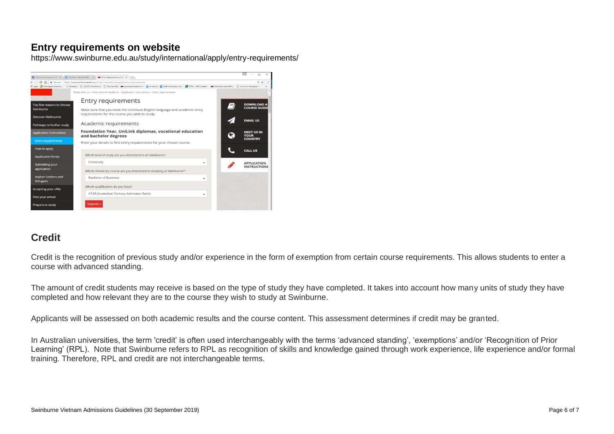## **Entry requirements on website**

https://www.swinburne.edu.au/study/international/apply/entry-requirements/



# **Credit**

Credit is the recognition of previous study and/or experience in the form of exemption from certain course requirements. This allows students to enter a course with advanced standing.

The amount of credit students may receive is based on the type of study they have completed. It takes into account how many units of study they have completed and how relevant they are to the course they wish to study at Swinburne.

Applicants will be assessed on both academic results and the course content. This assessment determines if credit may be granted.

In Australian universities, the term 'credit' is often used interchangeably with the terms 'advanced standing', 'exemptions' and/or 'Recognition of Prior Learning' (RPL). Note that Swinburne refers to RPL as recognition of skills and knowledge gained through work experience, life experience and/or formal training. Therefore, RPL and credit are not interchangeable terms.